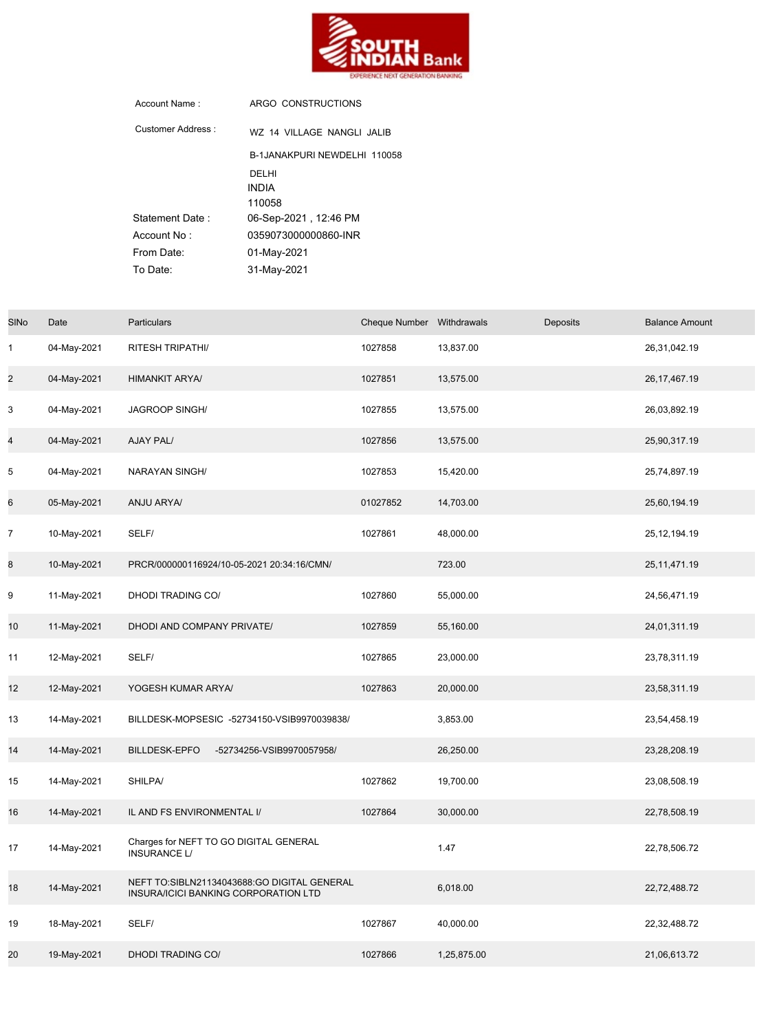

| Account Name:      | ARGO CONSTRUCTIONS           |  |  |  |  |
|--------------------|------------------------------|--|--|--|--|
| Customer Address · | WZ 14 VILLAGE NANGLI JALIB   |  |  |  |  |
|                    | B-1JANAKPURI NEWDELHI 110058 |  |  |  |  |
|                    | DEI HI                       |  |  |  |  |
|                    | <b>INDIA</b>                 |  |  |  |  |
|                    | 110058                       |  |  |  |  |
| Statement Date:    | 06-Sep-2021 , 12:46 PM       |  |  |  |  |
| Account No:        | 0359073000000860-INR         |  |  |  |  |
| From Date:         | 01-May-2021                  |  |  |  |  |
| To Date:           | 31-May-2021                  |  |  |  |  |

| <b>SINo</b>    | Date        | Particulars                                                                         | Cheque Number Withdrawals |             | Deposits | <b>Balance Amount</b> |
|----------------|-------------|-------------------------------------------------------------------------------------|---------------------------|-------------|----------|-----------------------|
| $\mathbf{1}$   | 04-May-2021 | RITESH TRIPATHI/                                                                    | 1027858                   | 13,837.00   |          | 26,31,042.19          |
| $\overline{2}$ | 04-May-2021 | <b>HIMANKIT ARYA/</b>                                                               | 1027851                   | 13,575.00   |          | 26, 17, 467. 19       |
| 3              | 04-May-2021 | JAGROOP SINGH/                                                                      | 1027855                   | 13,575.00   |          | 26,03,892.19          |
| 4              | 04-May-2021 | AJAY PAL/                                                                           | 1027856                   | 13,575.00   |          | 25,90,317.19          |
| 5              | 04-May-2021 | NARAYAN SINGH/                                                                      | 1027853                   | 15,420.00   |          | 25,74,897.19          |
| 6              | 05-May-2021 | ANJU ARYA/                                                                          | 01027852                  | 14,703.00   |          | 25,60,194.19          |
| $\overline{7}$ | 10-May-2021 | SELF/                                                                               | 1027861                   | 48,000.00   |          | 25, 12, 194. 19       |
| 8              | 10-May-2021 | PRCR/000000116924/10-05-2021 20:34:16/CMN/                                          |                           | 723.00      |          | 25, 11, 471. 19       |
| 9              | 11-May-2021 | DHODI TRADING CO/                                                                   | 1027860                   | 55,000.00   |          | 24,56,471.19          |
| 10             | 11-May-2021 | DHODI AND COMPANY PRIVATE/                                                          | 1027859                   | 55,160.00   |          | 24,01,311.19          |
| 11             | 12-May-2021 | SELF/                                                                               | 1027865                   | 23,000.00   |          | 23,78,311.19          |
| 12             | 12-May-2021 | YOGESH KUMAR ARYA/                                                                  | 1027863                   | 20,000.00   |          | 23,58,311.19          |
| 13             | 14-May-2021 | BILLDESK-MOPSESIC -52734150-VSIB9970039838/                                         |                           | 3,853.00    |          | 23,54,458.19          |
| 14             | 14-May-2021 | BILLDESK-EPFO<br>-52734256-VSIB9970057958/                                          |                           | 26,250.00   |          | 23,28,208.19          |
| 15             | 14-May-2021 | SHILPA/                                                                             | 1027862                   | 19,700.00   |          | 23,08,508.19          |
| 16             | 14-May-2021 | IL AND FS ENVIRONMENTAL I/                                                          | 1027864                   | 30,000.00   |          | 22,78,508.19          |
| 17             | 14-May-2021 | Charges for NEFT TO GO DIGITAL GENERAL<br><b>INSURANCE L/</b>                       |                           | 1.47        |          | 22,78,506.72          |
| 18             | 14-May-2021 | NEFT TO:SIBLN21134043688:GO DIGITAL GENERAL<br>INSURA/ICICI BANKING CORPORATION LTD |                           | 6,018.00    |          | 22,72,488.72          |
| 19             | 18-May-2021 | SELF/                                                                               | 1027867                   | 40,000.00   |          | 22,32,488.72          |
| 20             | 19-May-2021 | <b>DHODI TRADING CO/</b>                                                            | 1027866                   | 1,25,875.00 |          | 21,06,613.72          |